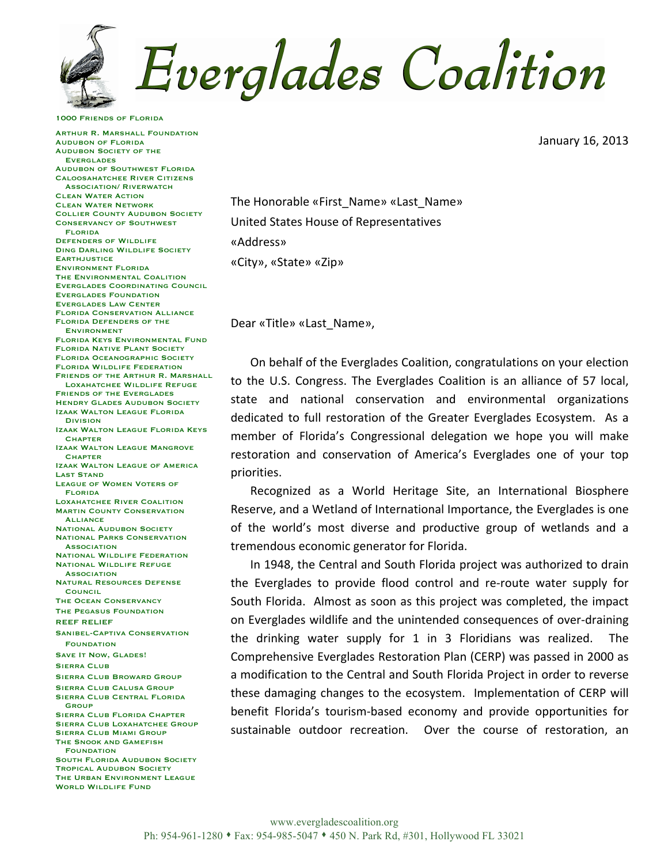

1000 Friends of Florida

Arthur R. Marshall Foundation Audubon of Florida Audubon Society of the **EVERGLADES** Audubon of Southwest Florida Caloosahatchee River Citizens Association/ Riverwatch Clean Water Action Clean Water Network Collier County Audubon Society Conservancy of Southwest Florida Defenders of Wildlife Ding Darling Wildlife Society **EARTHJUSTICE** Environment Florida The Environmental Coalition Everglades Coordinating Council Everglades Foundation Everglades Law Center Florida Conservation Alliance Florida Defenders of the Environment Florida Keys Environmental Fund Florida Native Plant Society Florida Oceanographic Society Florida Wildlife Federation Friends of the Arthur R. Marshall Loxahatchee Wildlife Refuge Friends of the Everglades **HENDRY GLADES AUDUBON SOCIETY** Izaak Walton League Florida Division Izaak Walton League Florida Keys **CHAPTER** Izaak Walton League Mangrove **CHAPTER** Izaak Walton League of America Last Stand League of Women Voters of Florida Loxahatchee River Coalition **MARTIN COUNTY CONSERVATION ALLIANCE NATIONAL AUDUBON SOCIETY** National Parks Conservation **ASSOCIATION** National Wildlife Federation National Wildlife Refuge **ASSOCIATION** Natural Resources Defense **COUNCIL** The Ocean Conservancy The Pegasus Foundation REEF RELIEF Sanibel-Captiva Conservation **FOUNDATION** SAVE IT NOW, GLADES! **SIERRA CLUB** Sierra Club Broward Group Sierra Club Calusa Group Sierra Club Central Florida **GROUP** Sierra Club Florida Chapter SIERRA CLUB LOXAHATCHEE GROUP Sierra Club Miami Group The Snook and Gamefish **FOUNDATION** SOUTH FLORIDA AUDUBON SOCIETY Tropical Audubon Society The Urban Environment League

WORLD WILDLIFE FUND

The Honorable «First\_Name» «Last\_Name» United States House of Representatives «Address» «City», «State» «Zip»

Dear «Title» «Last\_Name»,

On behalf of the Everglades Coalition, congratulations on your election to the U.S. Congress. The Everglades Coalition is an alliance of 57 local, state and national conservation and environmental organizations dedicated to full restoration of the Greater Everglades Ecosystem. As a member of Florida's Congressional delegation we hope you will make restoration and conservation of America's Everglades one of your top priorities.

Recognized as a World Heritage Site, an International Biosphere Reserve, and a Wetland of International Importance, the Everglades is one of the world's most diverse and productive group of wetlands and a tremendous economic generator for Florida.

In 1948, the Central and South Florida project was authorized to drain the Everglades to provide flood control and re-route water supply for South Florida. Almost as soon as this project was completed, the impact on Everglades wildlife and the unintended consequences of over-draining the drinking water supply for  $1$  in  $3$  Floridians was realized. The Comprehensive Everglades Restoration Plan (CERP) was passed in 2000 as a modification to the Central and South Florida Project in order to reverse these damaging changes to the ecosystem. Implementation of CERP will benefit Florida's tourism-based economy and provide opportunities for sustainable outdoor recreation. Over the course of restoration, an

January 16, 2013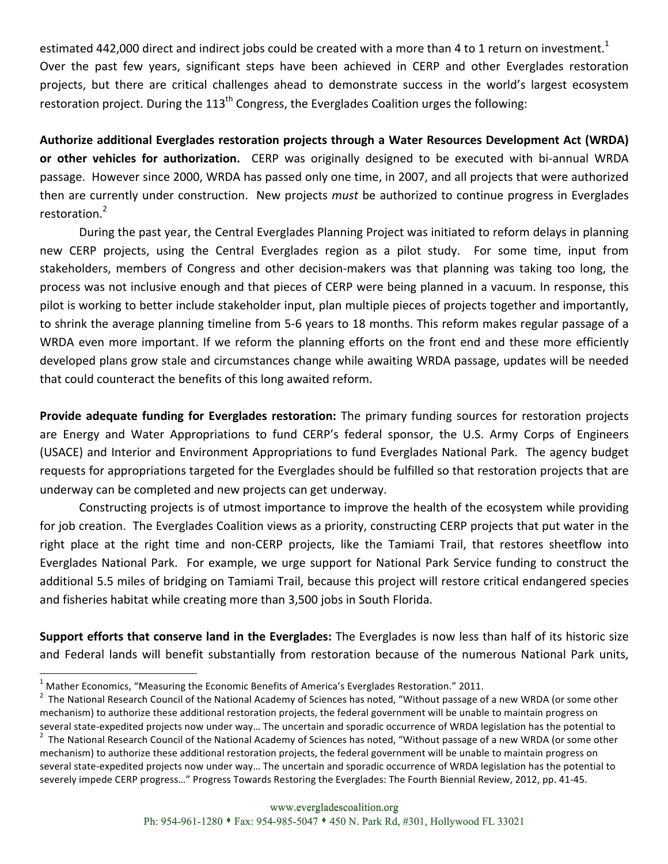estimated 442,000 direct and indirect jobs could be created with a more than 4 to 1 return on investment.<sup>1</sup> Over the past few years, significant steps have been achieved in CERP and other Everglades restoration projects, but there are critical challenges ahead to demonstrate success in the world's largest ecosystem restoration project. During the  $113<sup>th</sup>$  Congress, the Everglades Coalition urges the following:

Authorize additional Everglades restoration projects through a Water Resources Development Act (WRDA) **or other vehicles for authorization.** CERP was originally designed to be executed with bi-annual WRDA passage. However since 2000, WRDA has passed only one time, in 2007, and all projects that were authorized then are currently under construction. New projects *must* be authorized to continue progress in Everglades restoration.<sup>2</sup>

During the past year, the Central Everglades Planning Project was initiated to reform delays in planning new CERP projects, using the Central Everglades region as a pilot study. For some time, input from stakeholders, members of Congress and other decision-makers was that planning was taking too long, the process was not inclusive enough and that pieces of CERP were being planned in a vacuum. In response, this pilot is working to better include stakeholder input, plan multiple pieces of projects together and importantly, to shrink the average planning timeline from 5-6 years to 18 months. This reform makes regular passage of a WRDA even more important. If we reform the planning efforts on the front end and these more efficiently developed plans grow stale and circumstances change while awaiting WRDA passage, updates will be needed that could counteract the benefits of this long awaited reform.

**Provide adequate funding for Everglades restoration:** The primary funding sources for restoration projects are Energy and Water Appropriations to fund CERP's federal sponsor, the U.S. Army Corps of Engineers (USACE) and Interior and Environment Appropriations to fund Everglades National Park. The agency budget requests for appropriations targeted for the Everglades should be fulfilled so that restoration projects that are underway can be completed and new projects can get underway.

Constructing projects is of utmost importance to improve the health of the ecosystem while providing for job creation. The Everglades Coalition views as a priority, constructing CERP projects that put water in the right place at the right time and non-CERP projects, like the Tamiami Trail, that restores sheetflow into Everglades National Park. For example, we urge support for National Park Service funding to construct the additional 5.5 miles of bridging on Tamiami Trail, because this project will restore critical endangered species and fisheries habitat while creating more than 3,500 jobs in South Florida.

**Support efforts that conserve land in the Everglades:** The Everglades is now less than half of its historic size and Federal lands will benefit substantially from restoration because of the numerous National Park units,

 $<sup>1</sup>$  Mather Economics, "Measuring the Economic Benefits of America's Everglades Restoration." 2011.</sup>

<sup>&</sup>lt;sup>2</sup> The National Research Council of the National Academy of Sciences has noted, "Without passage of a new WRDA (or some other mechanism) to authorize these additional restoration projects, the federal government will be unable to maintain progress on several state-expedited projects now under way... The uncertain and sporadic occurrence of WRDA legislation has the potential to<br><sup>2</sup> The National Research Council of the National Academy of Sciences has noted, "Without pas

mechanism) to authorize these additional restoration projects, the federal government will be unable to maintain progress on several state-expedited projects now under way… The uncertain and sporadic occurrence of WRDA legislation has the potential to severely impede CERP progress..." Progress Towards Restoring the Everglades: The Fourth Biennial Review, 2012, pp. 41-45.